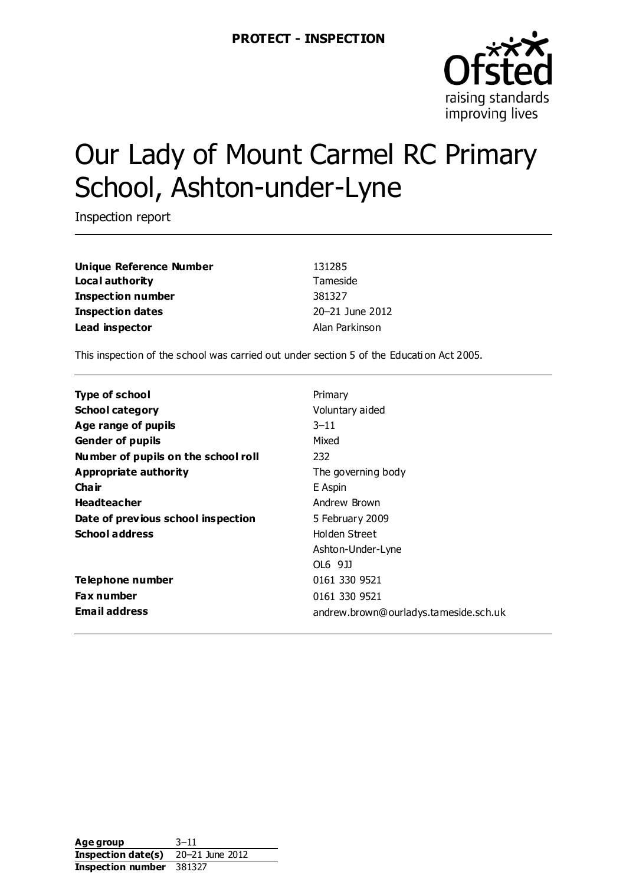

# Our Lady of Mount Carmel RC Primary School, Ashton-under-Lyne

Inspection report

**Unique Reference Number** 131285 **Local authority** Tameside **Inspection number** 381327 **Inspection dates** 20–21 June 2012 **Lead inspector Alan Parkinson** 

This inspection of the school was carried out under section 5 of the Educati on Act 2005.

| <b>Type of school</b>               | Primary                               |
|-------------------------------------|---------------------------------------|
| <b>School category</b>              | Voluntary aided                       |
| Age range of pupils                 | $3 - 11$                              |
| <b>Gender of pupils</b>             | Mixed                                 |
| Number of pupils on the school roll | 232                                   |
| Appropriate authority               | The governing body                    |
| Cha ir                              | E Aspin                               |
| <b>Headteacher</b>                  | Andrew Brown                          |
| Date of previous school inspection  | 5 February 2009                       |
| <b>School address</b>               | Holden Street                         |
|                                     | Ashton-Under-Lyne                     |
|                                     | OL6 9JJ                               |
| Telephone number                    | 0161 330 9521                         |
| <b>Fax number</b>                   | 0161 330 9521                         |
| <b>Email address</b>                | andrew.brown@ourladys.tameside.sch.uk |

**Age group** 3–11 **Inspection date(s)** 20–21 June 2012 **Inspection number** 381327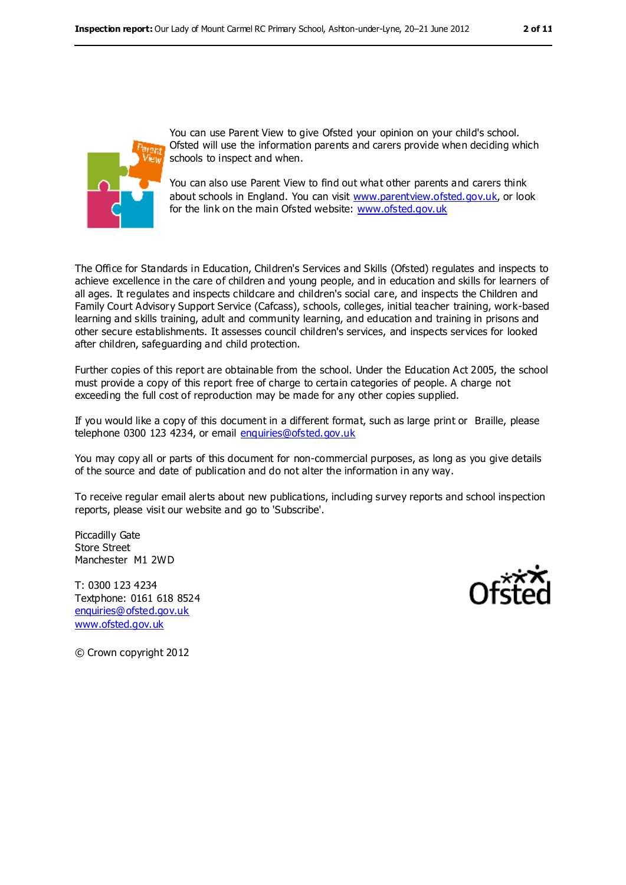

You can use Parent View to give Ofsted your opinion on your child's school. Ofsted will use the information parents and carers provide when deciding which schools to inspect and when.

You can also use Parent View to find out what other parents and carers think about schools in England. You can visit [www.parentview.ofsted.gov.uk,](../../../AppData/Local/Microsoft/AppData/Local/Microsoft/Windows/AppData/Local/Microsoft/Windows/Temporary%20Internet%20Files/Low/Content.IE5/B1YPUBY2/www.parentview.ofsted.gov.uk) or look for the link on the main Ofsted website: [www.ofsted.gov.uk](../../../AppData/Local/Microsoft/AppData/Local/Microsoft/Windows/AppData/Local/Microsoft/Windows/Temporary%20Internet%20Files/Low/Content.IE5/B1YPUBY2/www.ofsted.gov.uk)

The Office for Standards in Education, Children's Services and Skills (Ofsted) regulates and inspects to achieve excellence in the care of children and young people, and in education and skills for learners of all ages. It regulates and inspects childcare and children's social care, and inspects the Children and Family Court Advisory Support Service (Cafcass), schools, colleges, initial teacher training, work-based learning and skills training, adult and community learning, and education and training in prisons and other secure establishments. It assesses council children's services, and inspects services for looked after children, safeguarding and child protection.

Further copies of this report are obtainable from the school. Under the Education Act 2005, the school must provide a copy of this report free of charge to certain categories of people. A charge not exceeding the full cost of reproduction may be made for any other copies supplied.

If you would like a copy of this document in a different format, such as large print or Braille, please telephone 0300 123 4234, or email [enquiries@ofsted.gov.uk](mailto:enquiries@ofsted.gov.uk)

You may copy all or parts of this document for non-commercial purposes, as long as you give details of the source and date of publication and do not alter the information in any way.

To receive regular email alerts about new publications, including survey reports and school inspection reports, please visit our website and go to 'Subscribe'.

Piccadilly Gate Store Street Manchester M1 2WD

T: 0300 123 4234 Textphone: 0161 618 8524 [enquiries@ofsted.gov.uk](mailto:enquiries@ofsted.gov.uk) [www.ofsted.gov.uk](http://www.ofsted.gov.uk/)



© Crown copyright 2012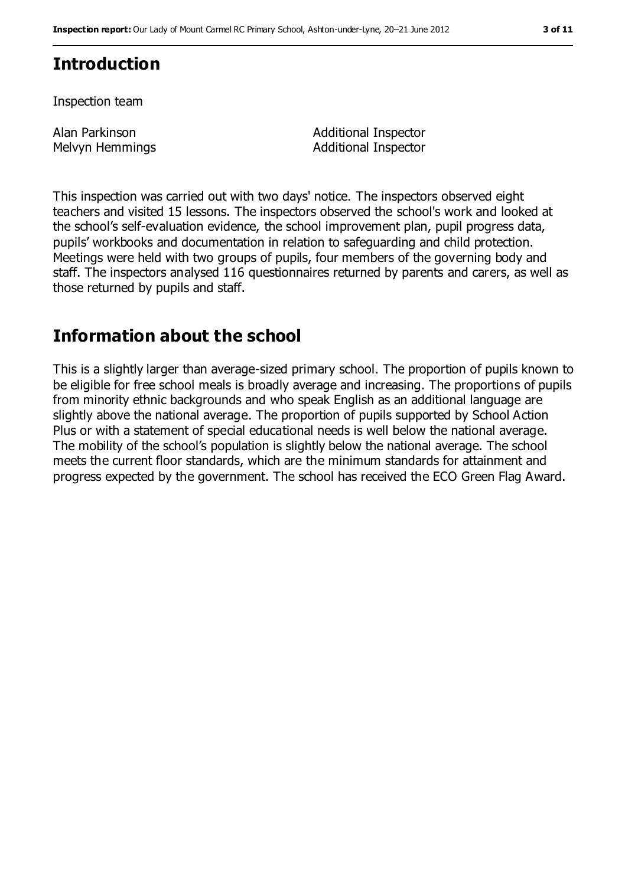# **Introduction**

Inspection team

Alan Parkinson Melvyn Hemmings Additional Inspector Additional Inspector

This inspection was carried out with two days' notice. The inspectors observed eight teachers and visited 15 lessons. The inspectors observed the school's work and looked at the school's self-evaluation evidence, the school improvement plan, pupil progress data, pupils' workbooks and documentation in relation to safeguarding and child protection. Meetings were held with two groups of pupils, four members of the governing body and staff. The inspectors analysed 116 questionnaires returned by parents and carers, as well as those returned by pupils and staff.

# **Information about the school**

This is a slightly larger than average-sized primary school. The proportion of pupils known to be eligible for free school meals is broadly average and increasing. The proportions of pupils from minority ethnic backgrounds and who speak English as an additional language are slightly above the national average. The proportion of pupils supported by School Action Plus or with a statement of special educational needs is well below the national average. The mobility of the school's population is slightly below the national average. The school meets the current floor standards, which are the minimum standards for attainment and progress expected by the government. The school has received the ECO Green Flag Award.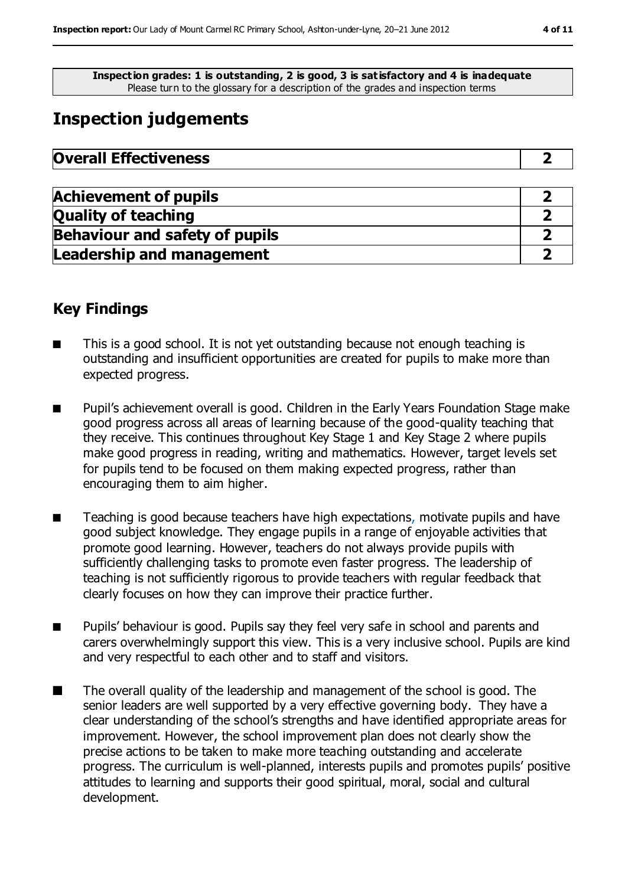**Inspection grades: 1 is outstanding, 2 is good, 3 is satisfactory and 4 is inadequate** Please turn to the glossary for a description of the grades and inspection terms

# **Inspection judgements**

| <b>Overall Effectiveness</b> |  |
|------------------------------|--|
|------------------------------|--|

| <b>Achievement of pupils</b>          |  |
|---------------------------------------|--|
| <b>Quality of teaching</b>            |  |
| <b>Behaviour and safety of pupils</b> |  |
| <b>Leadership and management</b>      |  |

### **Key Findings**

- This is a good school. It is not yet outstanding because not enough teaching is outstanding and insufficient opportunities are created for pupils to make more than expected progress.
- Pupil's achievement overall is good. Children in the Early Years Foundation Stage make good progress across all areas of learning because of the good-quality teaching that they receive. This continues throughout Key Stage 1 and Key Stage 2 where pupils make good progress in reading, writing and mathematics. However, target levels set for pupils tend to be focused on them making expected progress, rather than encouraging them to aim higher.
- Teaching is good because teachers have high expectations, motivate pupils and have good subject knowledge. They engage pupils in a range of enjoyable activities that promote good learning. However, teachers do not always provide pupils with sufficiently challenging tasks to promote even faster progress. The leadership of teaching is not sufficiently rigorous to provide teachers with regular feedback that clearly focuses on how they can improve their practice further.
- Pupils' behaviour is good. Pupils say they feel very safe in school and parents and carers overwhelmingly support this view. This is a very inclusive school. Pupils are kind and very respectful to each other and to staff and visitors.
- The overall quality of the leadership and management of the school is good. The senior leaders are well supported by a very effective governing body. They have a clear understanding of the school's strengths and have identified appropriate areas for improvement. However, the school improvement plan does not clearly show the precise actions to be taken to make more teaching outstanding and accelerate progress. The curriculum is well-planned, interests pupils and promotes pupils' positive attitudes to learning and supports their good spiritual, moral, social and cultural development.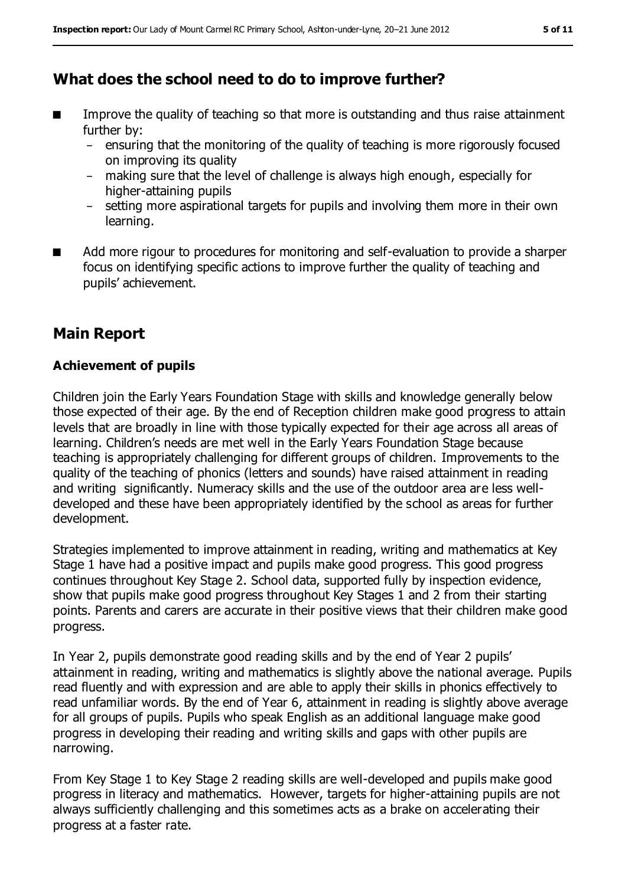# **What does the school need to do to improve further?**

- Improve the quality of teaching so that more is outstanding and thus raise attainment further by:
	- − ensuring that the monitoring of the quality of teaching is more rigorously focused on improving its quality
	- making sure that the level of challenge is always high enough, especially for higher-attaining pupils
	- − setting more aspirational targets for pupils and involving them more in their own learning.
- Add more rigour to procedures for monitoring and self-evaluation to provide a sharper focus on identifying specific actions to improve further the quality of teaching and pupils' achievement.

# **Main Report**

#### **Achievement of pupils**

Children join the Early Years Foundation Stage with skills and knowledge generally below those expected of their age. By the end of Reception children make good progress to attain levels that are broadly in line with those typically expected for their age across all areas of learning. Children's needs are met well in the Early Years Foundation Stage because teaching is appropriately challenging for different groups of children. Improvements to the quality of the teaching of phonics (letters and sounds) have raised attainment in reading and writing significantly. Numeracy skills and the use of the outdoor area are less welldeveloped and these have been appropriately identified by the school as areas for further development.

Strategies implemented to improve attainment in reading, writing and mathematics at Key Stage 1 have had a positive impact and pupils make good progress. This good progress continues throughout Key Stage 2. School data, supported fully by inspection evidence, show that pupils make good progress throughout Key Stages 1 and 2 from their starting points. Parents and carers are accurate in their positive views that their children make good progress.

In Year 2, pupils demonstrate good reading skills and by the end of Year 2 pupils' attainment in reading, writing and mathematics is slightly above the national average. Pupils read fluently and with expression and are able to apply their skills in phonics effectively to read unfamiliar words. By the end of Year 6, attainment in reading is slightly above average for all groups of pupils. Pupils who speak English as an additional language make good progress in developing their reading and writing skills and gaps with other pupils are narrowing.

From Key Stage 1 to Key Stage 2 reading skills are well-developed and pupils make good progress in literacy and mathematics. However, targets for higher-attaining pupils are not always sufficiently challenging and this sometimes acts as a brake on accelerating their progress at a faster rate.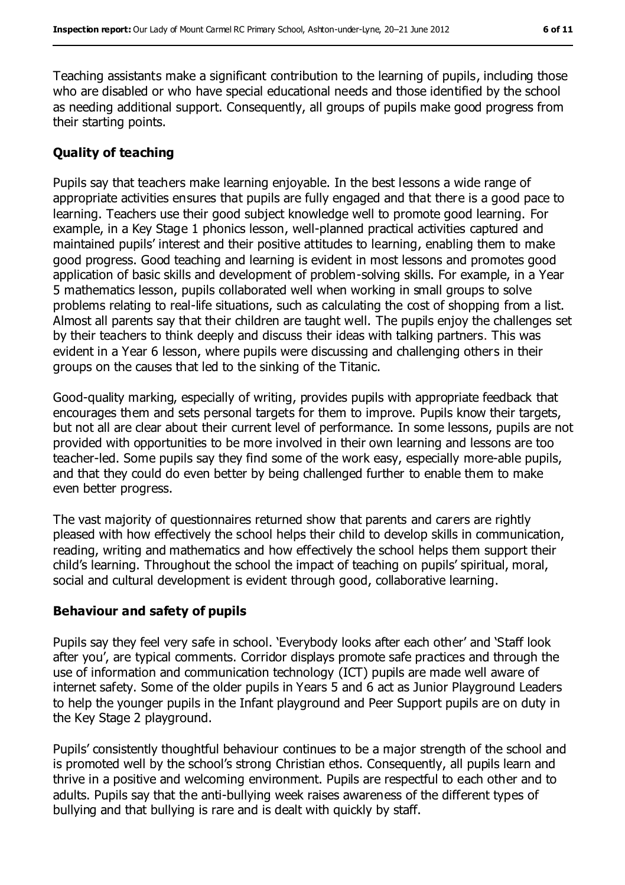Teaching assistants make a significant contribution to the learning of pupils, including those who are disabled or who have special educational needs and those identified by the school as needing additional support. Consequently, all groups of pupils make good progress from their starting points.

#### **Quality of teaching**

Pupils say that teachers make learning enjoyable. In the best lessons a wide range of appropriate activities ensures that pupils are fully engaged and that there is a good pace to learning. Teachers use their good subject knowledge well to promote good learning. For example, in a Key Stage 1 phonics lesson, well-planned practical activities captured and maintained pupils' interest and their positive attitudes to learning, enabling them to make good progress. Good teaching and learning is evident in most lessons and promotes good application of basic skills and development of problem-solving skills. For example, in a Year 5 mathematics lesson, pupils collaborated well when working in small groups to solve problems relating to real-life situations, such as calculating the cost of shopping from a list. Almost all parents say that their children are taught well. The pupils enjoy the challenges set by their teachers to think deeply and discuss their ideas with talking partners. This was evident in a Year 6 lesson, where pupils were discussing and challenging others in their groups on the causes that led to the sinking of the Titanic.

Good-quality marking, especially of writing, provides pupils with appropriate feedback that encourages them and sets personal targets for them to improve. Pupils know their targets, but not all are clear about their current level of performance. In some lessons, pupils are not provided with opportunities to be more involved in their own learning and lessons are too teacher-led. Some pupils say they find some of the work easy, especially more-able pupils, and that they could do even better by being challenged further to enable them to make even better progress.

The vast majority of questionnaires returned show that parents and carers are rightly pleased with how effectively the school helps their child to develop skills in communication, reading, writing and mathematics and how effectively the school helps them support their child's learning. Throughout the school the impact of teaching on pupils' spiritual, moral, social and cultural development is evident through good, collaborative learning.

#### **Behaviour and safety of pupils**

Pupils say they feel very safe in school. 'Everybody looks after each other' and 'Staff look after you', are typical comments. Corridor displays promote safe practices and through the use of information and communication technology (ICT) pupils are made well aware of internet safety. Some of the older pupils in Years 5 and 6 act as Junior Playground Leaders to help the younger pupils in the Infant playground and Peer Support pupils are on duty in the Key Stage 2 playground.

Pupils' consistently thoughtful behaviour continues to be a major strength of the school and is promoted well by the school's strong Christian ethos. Consequently, all pupils learn and thrive in a positive and welcoming environment. Pupils are respectful to each other and to adults. Pupils say that the anti-bullying week raises awareness of the different types of bullying and that bullying is rare and is dealt with quickly by staff.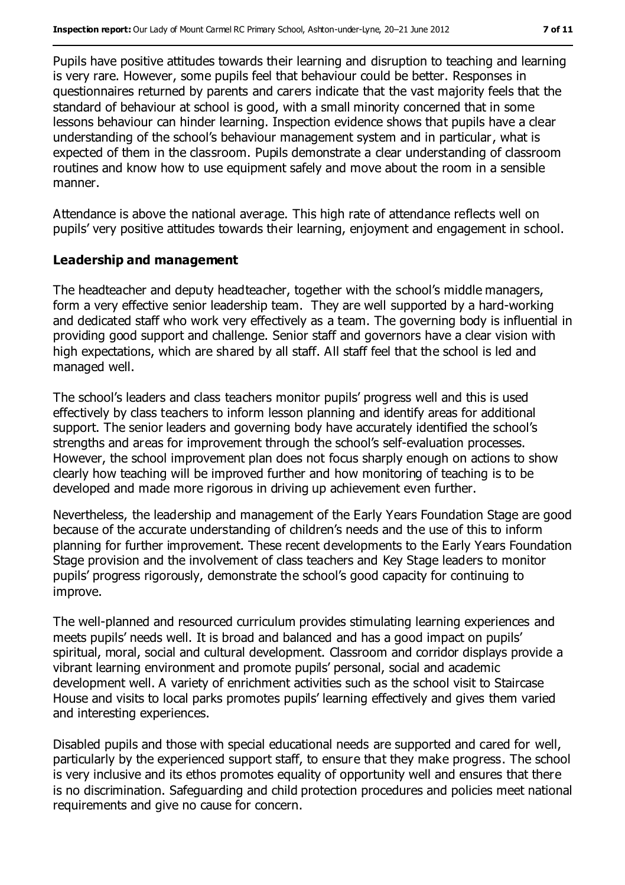Pupils have positive attitudes towards their learning and disruption to teaching and learning is very rare. However, some pupils feel that behaviour could be better. Responses in questionnaires returned by parents and carers indicate that the vast majority feels that the standard of behaviour at school is good, with a small minority concerned that in some lessons behaviour can hinder learning. Inspection evidence shows that pupils have a clear understanding of the school's behaviour management system and in particular, what is expected of them in the classroom. Pupils demonstrate a clear understanding of classroom routines and know how to use equipment safely and move about the room in a sensible manner.

Attendance is above the national average. This high rate of attendance reflects well on pupils' very positive attitudes towards their learning, enjoyment and engagement in school.

#### **Leadership and management**

The headteacher and deputy headteacher, together with the school's middle managers, form a very effective senior leadership team. They are well supported by a hard-working and dedicated staff who work very effectively as a team. The governing body is influential in providing good support and challenge. Senior staff and governors have a clear vision with high expectations, which are shared by all staff. All staff feel that the school is led and managed well.

The school's leaders and class teachers monitor pupils' progress well and this is used effectively by class teachers to inform lesson planning and identify areas for additional support. The senior leaders and governing body have accurately identified the school's strengths and areas for improvement through the school's self-evaluation processes. However, the school improvement plan does not focus sharply enough on actions to show clearly how teaching will be improved further and how monitoring of teaching is to be developed and made more rigorous in driving up achievement even further.

Nevertheless, the leadership and management of the Early Years Foundation Stage are good because of the accurate understanding of children's needs and the use of this to inform planning for further improvement. These recent developments to the Early Years Foundation Stage provision and the involvement of class teachers and Key Stage leaders to monitor pupils' progress rigorously, demonstrate the school's good capacity for continuing to improve.

The well-planned and resourced curriculum provides stimulating learning experiences and meets pupils' needs well. It is broad and balanced and has a good impact on pupils' spiritual, moral, social and cultural development. Classroom and corridor displays provide a vibrant learning environment and promote pupils' personal, social and academic development well. A variety of enrichment activities such as the school visit to Staircase House and visits to local parks promotes pupils' learning effectively and gives them varied and interesting experiences.

Disabled pupils and those with special educational needs are supported and cared for well, particularly by the experienced support staff, to ensure that they make progress. The school is very inclusive and its ethos promotes equality of opportunity well and ensures that there is no discrimination. Safeguarding and child protection procedures and policies meet national requirements and give no cause for concern.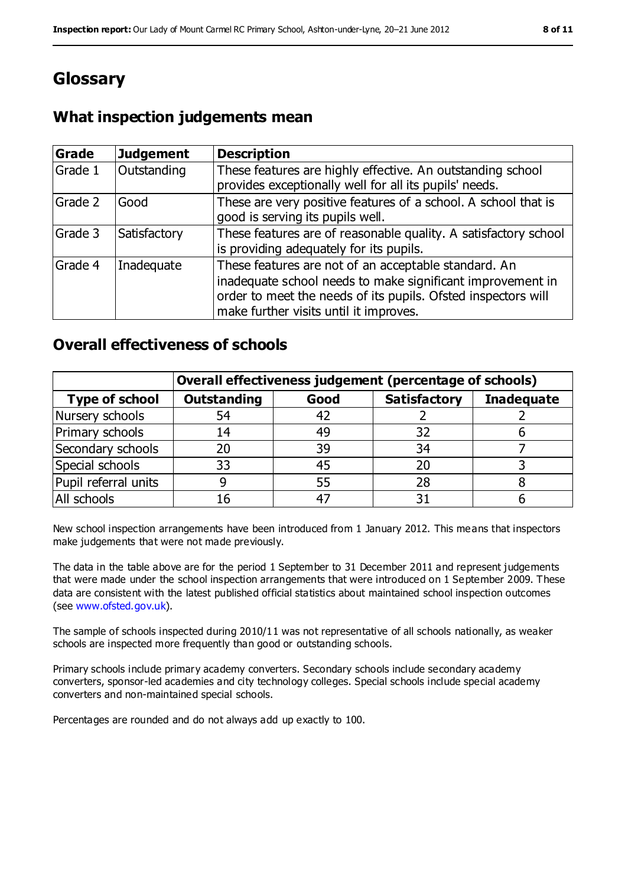# **Glossary**

## **What inspection judgements mean**

| Grade   | <b>Judgement</b> | <b>Description</b>                                                                                                                                                                                                            |
|---------|------------------|-------------------------------------------------------------------------------------------------------------------------------------------------------------------------------------------------------------------------------|
| Grade 1 | Outstanding      | These features are highly effective. An outstanding school<br>provides exceptionally well for all its pupils' needs.                                                                                                          |
| Grade 2 | Good             | These are very positive features of a school. A school that is<br>good is serving its pupils well.                                                                                                                            |
| Grade 3 | Satisfactory     | These features are of reasonable quality. A satisfactory school<br>is providing adequately for its pupils.                                                                                                                    |
| Grade 4 | Inadequate       | These features are not of an acceptable standard. An<br>inadequate school needs to make significant improvement in<br>order to meet the needs of its pupils. Ofsted inspectors will<br>make further visits until it improves. |

### **Overall effectiveness of schools**

|                       | Overall effectiveness judgement (percentage of schools) |      |                     |                   |
|-----------------------|---------------------------------------------------------|------|---------------------|-------------------|
| <b>Type of school</b> | <b>Outstanding</b>                                      | Good | <b>Satisfactory</b> | <b>Inadequate</b> |
| Nursery schools       | 54                                                      |      |                     |                   |
| Primary schools       | 14                                                      | 49   | 32                  |                   |
| Secondary schools     | 20                                                      | 39   | 34                  |                   |
| Special schools       | 33                                                      | 45   | 20                  |                   |
| Pupil referral units  |                                                         | 55   | 28                  |                   |
| All schools           | 16                                                      |      |                     |                   |

New school inspection arrangements have been introduced from 1 January 2012. This means that inspectors make judgements that were not made previously.

The data in the table above are for the period 1 September to 31 December 2011 and represent judgements that were made under the school inspection arrangements that were introduced on 1 September 2009. These data are consistent with the latest published official statistics about maintained school inspection outcomes (see [www.ofsted.gov.uk\)](../../../AppData/Local/Microsoft/AppData/Local/Microsoft/Windows/AppData/Local/Microsoft/Windows/Temporary%20Internet%20Files/Low/Content.IE5/B1YPUBY2/www.ofsted.gov.uk).

The sample of schools inspected during 2010/11 was not representative of all schools nationally, as weaker schools are inspected more frequently than good or outstanding schools.

Primary schools include primary academy converters. Secondary schools include secondary academy converters, sponsor-led academies and city technology colleges. Special schools include special academy converters and non-maintained special schools.

Percentages are rounded and do not always add up exactly to 100.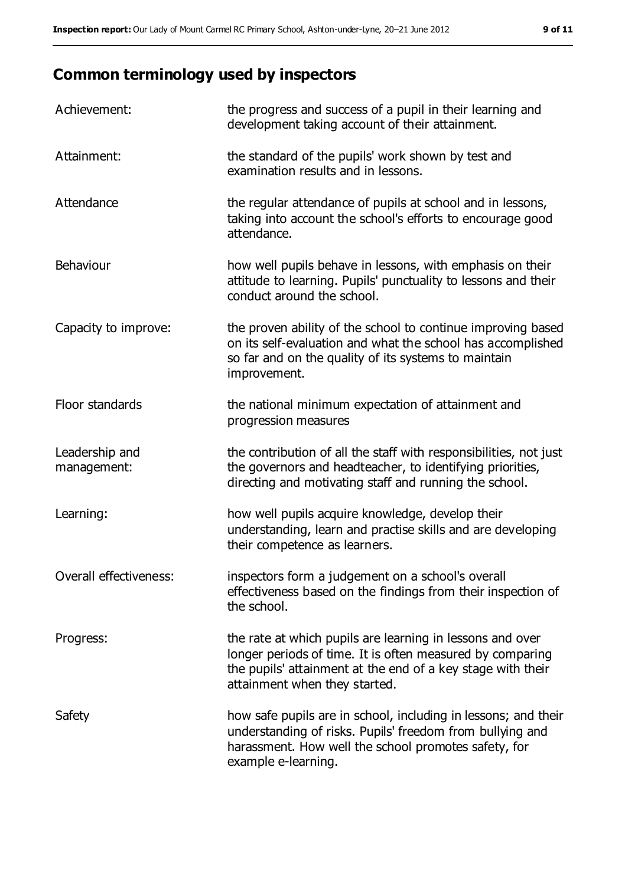# **Common terminology used by inspectors**

| Achievement:                  | the progress and success of a pupil in their learning and<br>development taking account of their attainment.                                                                                                           |
|-------------------------------|------------------------------------------------------------------------------------------------------------------------------------------------------------------------------------------------------------------------|
| Attainment:                   | the standard of the pupils' work shown by test and<br>examination results and in lessons.                                                                                                                              |
| Attendance                    | the regular attendance of pupils at school and in lessons,<br>taking into account the school's efforts to encourage good<br>attendance.                                                                                |
| Behaviour                     | how well pupils behave in lessons, with emphasis on their<br>attitude to learning. Pupils' punctuality to lessons and their<br>conduct around the school.                                                              |
| Capacity to improve:          | the proven ability of the school to continue improving based<br>on its self-evaluation and what the school has accomplished<br>so far and on the quality of its systems to maintain<br>improvement.                    |
| Floor standards               | the national minimum expectation of attainment and<br>progression measures                                                                                                                                             |
| Leadership and<br>management: | the contribution of all the staff with responsibilities, not just<br>the governors and headteacher, to identifying priorities,<br>directing and motivating staff and running the school.                               |
| Learning:                     | how well pupils acquire knowledge, develop their<br>understanding, learn and practise skills and are developing<br>their competence as learners.                                                                       |
| Overall effectiveness:        | inspectors form a judgement on a school's overall<br>effectiveness based on the findings from their inspection of<br>the school.                                                                                       |
| Progress:                     | the rate at which pupils are learning in lessons and over<br>longer periods of time. It is often measured by comparing<br>the pupils' attainment at the end of a key stage with their<br>attainment when they started. |
| Safety                        | how safe pupils are in school, including in lessons; and their<br>understanding of risks. Pupils' freedom from bullying and<br>harassment. How well the school promotes safety, for<br>example e-learning.             |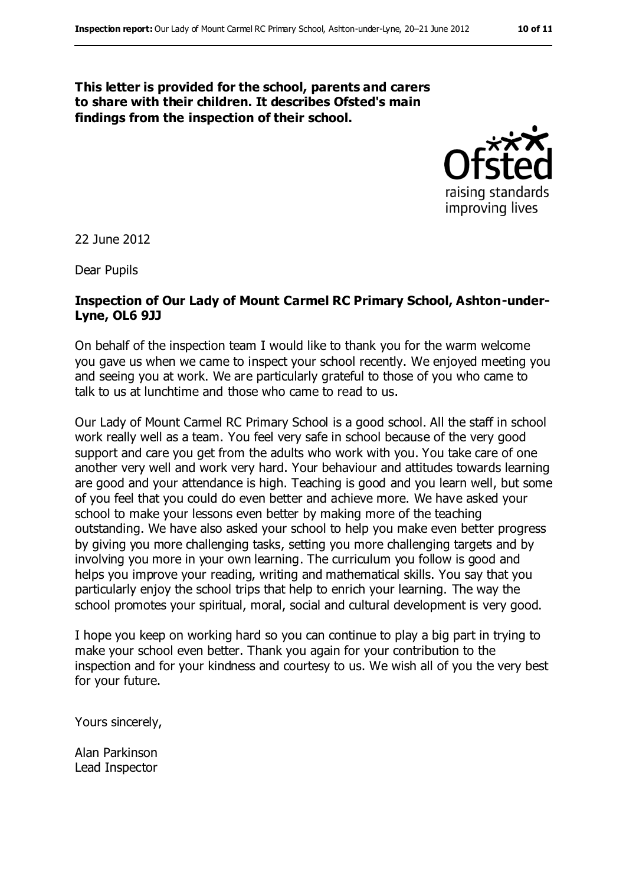#### **This letter is provided for the school, parents and carers to share with their children. It describes Ofsted's main findings from the inspection of their school.**



22 June 2012

Dear Pupils

#### **Inspection of Our Lady of Mount Carmel RC Primary School, Ashton-under-Lyne, OL6 9JJ**

On behalf of the inspection team I would like to thank you for the warm welcome you gave us when we came to inspect your school recently. We enjoyed meeting you and seeing you at work. We are particularly grateful to those of you who came to talk to us at lunchtime and those who came to read to us.

Our Lady of Mount Carmel RC Primary School is a good school. All the staff in school work really well as a team. You feel very safe in school because of the very good support and care you get from the adults who work with you. You take care of one another very well and work very hard. Your behaviour and attitudes towards learning are good and your attendance is high. Teaching is good and you learn well, but some of you feel that you could do even better and achieve more. We have asked your school to make your lessons even better by making more of the teaching outstanding. We have also asked your school to help you make even better progress by giving you more challenging tasks, setting you more challenging targets and by involving you more in your own learning. The curriculum you follow is good and helps you improve your reading, writing and mathematical skills. You say that you particularly enjoy the school trips that help to enrich your learning. The way the school promotes your spiritual, moral, social and cultural development is very good.

I hope you keep on working hard so you can continue to play a big part in trying to make your school even better. Thank you again for your contribution to the inspection and for your kindness and courtesy to us. We wish all of you the very best for your future.

Yours sincerely,

Alan Parkinson Lead Inspector